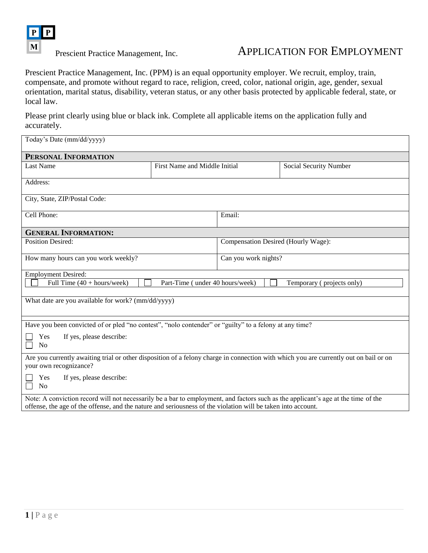

# Prescient Practice Management, Inc. APPLICATION FOR EMPLOYMENT

<span id="page-0-0"></span>Prescient Practice Management, Inc. (PPM) is an equal opportunity employer. We recruit, employ, train, compensate, and promote without regard to race, religion, creed, color, national origin, age, gender, sexual orientation, marital status, disability, veteran status, or any other basis protected by applicable federal, state, or local law.

Please print clearly using blue or black ink. Complete all applicable items on the application fully and accurately.

| Today's Date (mm/dd/yyyy)                                                                                                                                                                                                                         |                               |                                     |                        |  |  |  |
|---------------------------------------------------------------------------------------------------------------------------------------------------------------------------------------------------------------------------------------------------|-------------------------------|-------------------------------------|------------------------|--|--|--|
| PERSONAL INFORMATION                                                                                                                                                                                                                              |                               |                                     |                        |  |  |  |
| <b>Last Name</b>                                                                                                                                                                                                                                  | First Name and Middle Initial |                                     | Social Security Number |  |  |  |
| Address:                                                                                                                                                                                                                                          |                               |                                     |                        |  |  |  |
| City, State, ZIP/Postal Code:                                                                                                                                                                                                                     |                               |                                     |                        |  |  |  |
| Cell Phone:                                                                                                                                                                                                                                       |                               | Email:                              |                        |  |  |  |
| <b>GENERAL INFORMATION:</b>                                                                                                                                                                                                                       |                               |                                     |                        |  |  |  |
| <b>Position Desired:</b>                                                                                                                                                                                                                          |                               | Compensation Desired (Hourly Wage): |                        |  |  |  |
| How many hours can you work weekly?                                                                                                                                                                                                               |                               | Can you work nights?                |                        |  |  |  |
| <b>Employment Desired:</b>                                                                                                                                                                                                                        |                               |                                     |                        |  |  |  |
| Full Time $(40 + hours/week)$<br>Part-Time (under 40 hours/week)<br>Temporary (projects only)                                                                                                                                                     |                               |                                     |                        |  |  |  |
| What date are you available for work? (mm/dd/yyyy)                                                                                                                                                                                                |                               |                                     |                        |  |  |  |
| Have you been convicted of or pled "no contest", "nolo contender" or "guilty" to a felony at any time?                                                                                                                                            |                               |                                     |                        |  |  |  |
| If yes, please describe:<br>Yes<br>No                                                                                                                                                                                                             |                               |                                     |                        |  |  |  |
| Are you currently awaiting trial or other disposition of a felony charge in connection with which you are currently out on bail or on<br>your own recognizance?                                                                                   |                               |                                     |                        |  |  |  |
| If yes, please describe:<br>Yes<br>N <sub>0</sub>                                                                                                                                                                                                 |                               |                                     |                        |  |  |  |
| Note: A conviction record will not necessarily be a bar to employment, and factors such as the applicant's age at the time of the<br>offense, the age of the offense, and the nature and seriousness of the violation will be taken into account. |                               |                                     |                        |  |  |  |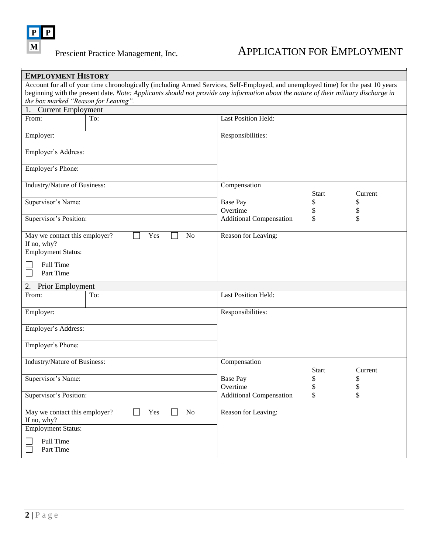

 $\Gamma$ 

| <b>EMPLOYMENT HISTORY</b>                    |                                                                                                                                      |                                |              |         |  |  |  |  |
|----------------------------------------------|--------------------------------------------------------------------------------------------------------------------------------------|--------------------------------|--------------|---------|--|--|--|--|
|                                              | Account for all of your time chronologically (including Armed Services, Self-Employed, and unemployed time) for the past 10 years    |                                |              |         |  |  |  |  |
|                                              | beginning with the present date. Note: Applicants should not provide any information about the nature of their military discharge in |                                |              |         |  |  |  |  |
| the box marked "Reason for Leaving".         |                                                                                                                                      |                                |              |         |  |  |  |  |
| 1. Current Employment                        |                                                                                                                                      |                                |              |         |  |  |  |  |
| From:                                        | To:                                                                                                                                  | <b>Last Position Held:</b>     |              |         |  |  |  |  |
|                                              |                                                                                                                                      |                                |              |         |  |  |  |  |
| Employer:                                    |                                                                                                                                      | Responsibilities:              |              |         |  |  |  |  |
|                                              |                                                                                                                                      |                                |              |         |  |  |  |  |
| Employer's Address:                          |                                                                                                                                      |                                |              |         |  |  |  |  |
|                                              |                                                                                                                                      |                                |              |         |  |  |  |  |
| Employer's Phone:                            |                                                                                                                                      |                                |              |         |  |  |  |  |
|                                              |                                                                                                                                      |                                |              |         |  |  |  |  |
| Industry/Nature of Business:                 |                                                                                                                                      | Compensation                   |              |         |  |  |  |  |
|                                              |                                                                                                                                      |                                | <b>Start</b> | Current |  |  |  |  |
| Supervisor's Name:                           |                                                                                                                                      | <b>Base Pay</b>                | \$           | \$      |  |  |  |  |
|                                              |                                                                                                                                      | Overtime                       | \$           | \$      |  |  |  |  |
| Supervisor's Position:                       |                                                                                                                                      | <b>Additional Compensation</b> | \$           | \$      |  |  |  |  |
| May we contact this employer?<br>If no, why? | N <sub>o</sub><br>Yes                                                                                                                | Reason for Leaving:            |              |         |  |  |  |  |
| <b>Employment Status:</b>                    |                                                                                                                                      |                                |              |         |  |  |  |  |
|                                              |                                                                                                                                      |                                |              |         |  |  |  |  |
| Full Time                                    |                                                                                                                                      |                                |              |         |  |  |  |  |
| Part Time                                    |                                                                                                                                      |                                |              |         |  |  |  |  |
| 2.<br>Prior Employment                       |                                                                                                                                      |                                |              |         |  |  |  |  |
| From:                                        | To:                                                                                                                                  | <b>Last Position Held:</b>     |              |         |  |  |  |  |
|                                              |                                                                                                                                      |                                |              |         |  |  |  |  |
| Employer:                                    |                                                                                                                                      | Responsibilities:              |              |         |  |  |  |  |
|                                              |                                                                                                                                      |                                |              |         |  |  |  |  |
| Employer's Address:                          |                                                                                                                                      |                                |              |         |  |  |  |  |
|                                              |                                                                                                                                      |                                |              |         |  |  |  |  |
| Employer's Phone:                            |                                                                                                                                      |                                |              |         |  |  |  |  |
|                                              |                                                                                                                                      |                                |              |         |  |  |  |  |
| Industry/Nature of Business:                 |                                                                                                                                      | Compensation                   |              |         |  |  |  |  |
|                                              |                                                                                                                                      |                                | <b>Start</b> | Current |  |  |  |  |
| Supervisor's Name:                           |                                                                                                                                      | <b>Base Pay</b>                | \$           | \$      |  |  |  |  |
|                                              |                                                                                                                                      | Overtime                       | \$           | \$      |  |  |  |  |
| Supervisor's Position:                       |                                                                                                                                      | <b>Additional Compensation</b> | \$           | \$      |  |  |  |  |
|                                              |                                                                                                                                      |                                |              |         |  |  |  |  |
| May we contact this employer?                | $\rm No$<br>Yes                                                                                                                      | Reason for Leaving:            |              |         |  |  |  |  |
| If no, why?                                  |                                                                                                                                      |                                |              |         |  |  |  |  |
| <b>Employment Status:</b>                    |                                                                                                                                      |                                |              |         |  |  |  |  |
| Full Time                                    |                                                                                                                                      |                                |              |         |  |  |  |  |
| Part Time                                    |                                                                                                                                      |                                |              |         |  |  |  |  |
|                                              |                                                                                                                                      |                                |              |         |  |  |  |  |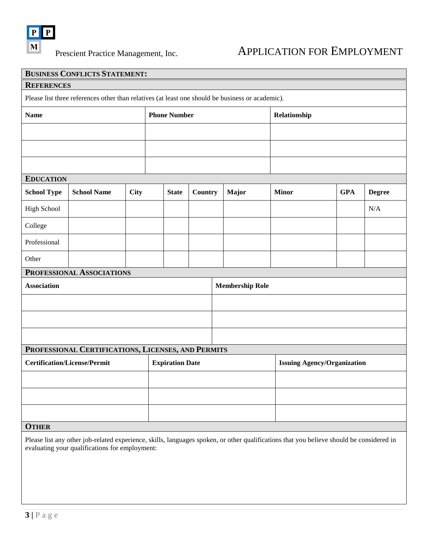

## Prescient Practice Management, Inc. APPLICATION FOR EMPLOYMENT

|                                                                                                  | <b>BUSINESS CONFLICTS STATEMENT:</b> |             |                     |                        |         |                                    |       |  |              |            |               |
|--------------------------------------------------------------------------------------------------|--------------------------------------|-------------|---------------------|------------------------|---------|------------------------------------|-------|--|--------------|------------|---------------|
| <b>REFERENCES</b>                                                                                |                                      |             |                     |                        |         |                                    |       |  |              |            |               |
| Please list three references other than relatives (at least one should be business or academic). |                                      |             |                     |                        |         |                                    |       |  |              |            |               |
| <b>Name</b>                                                                                      |                                      |             | <b>Phone Number</b> |                        |         | Relationship                       |       |  |              |            |               |
|                                                                                                  |                                      |             |                     |                        |         |                                    |       |  |              |            |               |
|                                                                                                  |                                      |             |                     |                        |         |                                    |       |  |              |            |               |
|                                                                                                  |                                      |             |                     |                        |         |                                    |       |  |              |            |               |
| <b>EDUCATION</b>                                                                                 |                                      |             |                     |                        |         |                                    |       |  |              |            |               |
| <b>School Type</b>                                                                               | <b>School Name</b>                   | <b>City</b> |                     | <b>State</b>           | Country |                                    | Major |  | <b>Minor</b> | <b>GPA</b> | <b>Degree</b> |
| High School                                                                                      |                                      |             |                     |                        |         |                                    |       |  |              |            | $\rm N/A$     |
| College                                                                                          |                                      |             |                     |                        |         |                                    |       |  |              |            |               |
| Professional                                                                                     |                                      |             |                     |                        |         |                                    |       |  |              |            |               |
| Other                                                                                            |                                      |             |                     |                        |         |                                    |       |  |              |            |               |
|                                                                                                  | PROFESSIONAL ASSOCIATIONS            |             |                     |                        |         |                                    |       |  |              |            |               |
| <b>Association</b>                                                                               |                                      |             |                     | <b>Membership Role</b> |         |                                    |       |  |              |            |               |
|                                                                                                  |                                      |             |                     |                        |         |                                    |       |  |              |            |               |
|                                                                                                  |                                      |             |                     |                        |         |                                    |       |  |              |            |               |
|                                                                                                  |                                      |             |                     |                        |         |                                    |       |  |              |            |               |
| PROFESSIONAL CERTIFICATIONS, LICENSES, AND PERMITS                                               |                                      |             |                     |                        |         |                                    |       |  |              |            |               |
| <b>Certification/License/Permit</b><br><b>Expiration Date</b>                                    |                                      |             |                     |                        |         | <b>Issuing Agency/Organization</b> |       |  |              |            |               |
|                                                                                                  |                                      |             |                     |                        |         |                                    |       |  |              |            |               |
|                                                                                                  |                                      |             |                     |                        |         |                                    |       |  |              |            |               |
|                                                                                                  |                                      |             |                     |                        |         |                                    |       |  |              |            |               |
| <b>OTHER</b>                                                                                     |                                      |             |                     |                        |         |                                    |       |  |              |            |               |
|                                                                                                  |                                      |             |                     |                        |         |                                    |       |  |              |            |               |

Please list any other job-related experience, skills, languages spoken, or other qualifications that you believe should be considered in evaluating your qualifications for employment: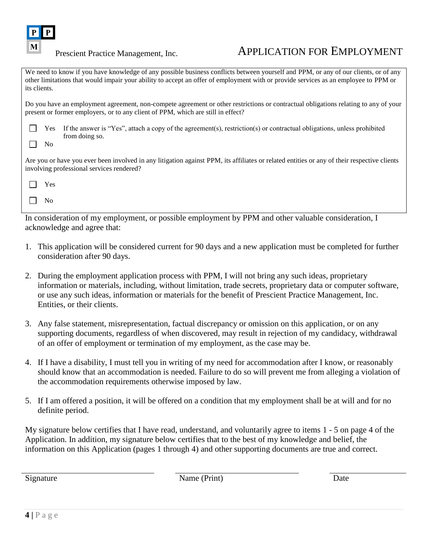

### Prescient Practice Management, Inc. APPLICATION FOR EMPLOYMENT

We need to know if you have knowledge of any possible business conflicts between yourself and PPM, or any of our clients, or of any other limitations that would impair your ability to accept an offer of employment with or provide services as an employee to PPM or its clients.

Do you have an employment agreement, non-compete agreement or other restrictions or contractual obligations relating to any of your present or former employers, or to any client of PPM, which are still in effect?

|           | $\blacksquare$ Yes If the answer is "Yes", attach a copy of the agreement(s), restriction(s) or contractual obligations, unless prohibited |
|-----------|--------------------------------------------------------------------------------------------------------------------------------------------|
|           | from doing so.                                                                                                                             |
| $\Box$ No |                                                                                                                                            |

Are you or have you ever been involved in any litigation against PPM, its affiliates or related entities or any of their respective clients involving professional services rendered?

Yes  $\Box$ 

 $\Box$ No

In consideration of my employment, or possible employment by PPM and other valuable consideration, I acknowledge and agree that:

- <span id="page-3-0"></span>1. This application will be considered current for 90 days and a new application must be completed for further consideration after 90 days.
- 2. During the employment application process with PPM, I will not bring any such ideas, proprietary information or materials, including, without limitation, trade secrets, proprietary data or computer software, or use any such ideas, information or materials for the benefit of Prescient Practice Management, Inc. Entities, or their clients.
- 3. Any false statement, misrepresentation, factual discrepancy or omission on this application, or on any supporting documents, regardless of when discovered, may result in rejection of my candidacy, withdrawal of an offer of employment or termination of my employment, as the case may be.
- 4. If I have a disability, I must tell you in writing of my need for accommodation after I know, or reasonably should know that an accommodation is needed. Failure to do so will prevent me from alleging a violation of the accommodation requirements otherwise imposed by law.
- <span id="page-3-1"></span>5. If I am offered a position, it will be offered on a condition that my employment shall be at will and for no definite period.

My signature below certifies that I have read, understand, and voluntarily agree to items [1](#page-3-0) - [5](#page-3-1) on page [4](#page-3-1) of the Application. In addition, my signature below certifies that to the best of my knowledge and belief, the information on this Application (pages [1](#page-0-0) through [4\)](#page-3-2) and other supporting documents are true and correct.

<span id="page-3-2"></span>

Signature Date Name (Print) Date Date